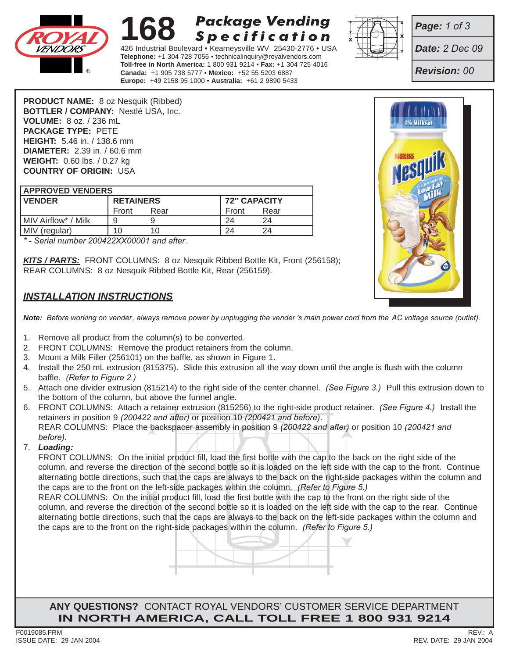

#### **168 Package Vending Specification**

426 Industrial Boulevard • Kearneysville WV 25430-2776 • USA **Telephone:** +1 304 728 7056 • technicalinquiry@royalvendors.com **Toll-free in North America:** 1 800 931 9214 • **Fax:** +1 304 725 4016 **Canada:** +1 905 738 5777 • **Mexico:** +52 55 5203 6887 **Europe:** +49 2158 95 1000 • **Australia:** +61 2 9890 5433



*Page: 1 of 3*

*Date: 2 Dec 09*

*Revision: 00*

**PRODUCT NAME:** 8 oz Nesquik (Ribbed) **BOTTLER / COMPANY:** Nestlé USA, Inc. **VOLUME:** 8 oz. / 236 mL **PACKAGE TYPE:** PETE **HEIGHT:** 5.46 in. / 138.6 mm **DIAMETER:** 2.39 in. / 60.6 mm **WEIGHT:** 0.60 lbs. / 0.27 kg **COUNTRY OF ORIGIN:** USA

| <b>APPROVED VENDERS</b> |                  |      |                     |      |
|-------------------------|------------------|------|---------------------|------|
| <b>IVENDER</b>          | <b>RETAINERS</b> |      | <b>72" CAPACITY</b> |      |
|                         | Front            | Rear | Front               | Rear |
| l MIV Airflow* / Milk   | 9                |      |                     | 24   |
| MIV (regular)           |                  | 10   |                     | 24   |

*\* - Serial number 200422XX00001 and after.*

*KITS / PARTS:* FRONT COLUMNS: 8 oz Nesquik Ribbed Bottle Kit, Front (256158); REAR COLUMNS: 8 oz Nesquik Ribbed Bottle Kit, Rear (256159).

## *INSTALLATION INSTRUCTIONS*

*Note: Before working on vender, always remove power by unplugging the vender 's main power cord from the AC voltage source (outlet).*

- 1. Remove all product from the column(s) to be converted.
- 2. FRONT COLUMNS: Remove the product retainers from the column.
- 3. Mount a Milk Filler (256101) on the baffle, as shown in Figure 1.
- 4. Install the 250 mL extrusion (815375). Slide this extrusion all the way down until the angle is flush with the column baffle. *(Refer to Figure 2.)*
- 5. Attach one divider extrusion (815214) to the right side of the center channel. *(See Figure 3.)* Pull this extrusion down to the bottom of the column, but above the funnel angle.
- 6. FRONT COLUMNS: Attach a retainer extrusion (815256) to the right-side product retainer. *(See Figure 4.)* Install the retainers in position 9 *(200422 and after)* or position 10 *(200421 and before)*. REAR COLUMNS: Place the backspacer assembly in position 9 *(200422 and after)* or position 10 *(200421 and before)*.

#### 7. *Loading:*

such that the caps are always to the back on the right-side<br>he left-side packages within the column. (*Refer to Figure*<br>itial product fill, load the first bottle with the cap to the fr<br>estion of the second bottle so it is FRONT COLUMNS: On the initial product fill, load the first bottle with the cap to the back on the right side of the column, and reverse the direction of the second bottle so it is loaded on the left side with the cap to the front. Continue alternating bottle directions, such that the caps are always to the back on the right-side packages within the column and the caps are to the front on the left-side packages within the column. *(Refer to Figure 5.)*

REAR COLUMNS: On the initial product fill, load the first bottle with the cap to the front on the right side of the column, and reverse the direction of the second bottle so it is loaded on the left side with the cap to the rear. Continue alternating bottle directions, such that the caps are always to the back on the left-side packages within the column and the caps are to the front on the right-side packages within the column. *(Refer to Figure 5.)*

**ANY QUESTIONS?** CONTACT ROYAL VENDORS' CUSTOMER SERVICE DEPARTMENT **IN NORTH AMERICA, CALL TOLL FREE 1 800 931 9214**

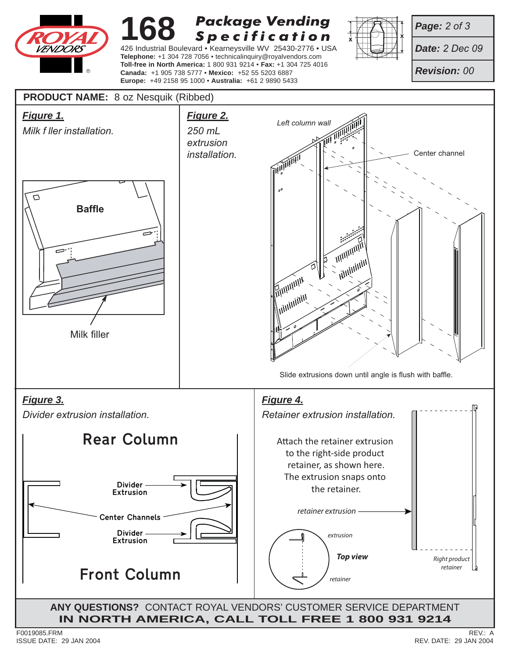

#### **168 Package Vending Specification**

426 Industrial Boulevard • Kearneysville WV 25430-2776 • USA **Telephone:** +1 304 728 7056 • technicalinquiry@royalvendors.com **Toll-free in North America:** 1 800 931 9214 • **Fax:** +1 304 725 4016 **Canada:** +1 905 738 5777 • **Mexico:** +52 55 5203 6887 **Europe:** +49 2158 95 1000 • **Australia:** +61 2 9890 5433



*Page: 2 of 3*

*Date: 2 Dec 09*

*Revision: 00*